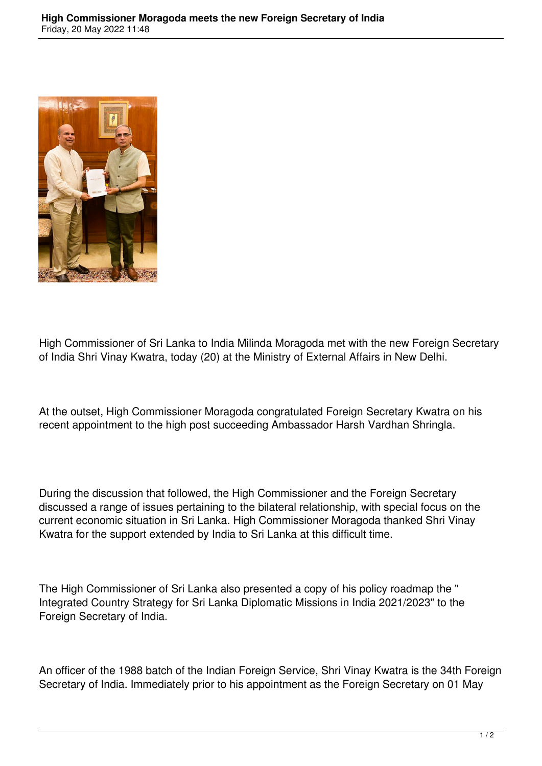

High Commissioner of Sri Lanka to India Milinda Moragoda met with the new Foreign Secretary of India Shri Vinay Kwatra, today (20) at the Ministry of External Affairs in New Delhi.

At the outset, High Commissioner Moragoda congratulated Foreign Secretary Kwatra on his recent appointment to the high post succeeding Ambassador Harsh Vardhan Shringla.

During the discussion that followed, the High Commissioner and the Foreign Secretary discussed a range of issues pertaining to the bilateral relationship, with special focus on the current economic situation in Sri Lanka. High Commissioner Moragoda thanked Shri Vinay Kwatra for the support extended by India to Sri Lanka at this difficult time.

The High Commissioner of Sri Lanka also presented a copy of his policy roadmap the " Integrated Country Strategy for Sri Lanka Diplomatic Missions in India 2021/2023" to the Foreign Secretary of India.

An officer of the 1988 batch of the Indian Foreign Service, Shri Vinay Kwatra is the 34th Foreign Secretary of India. Immediately prior to his appointment as the Foreign Secretary on 01 May